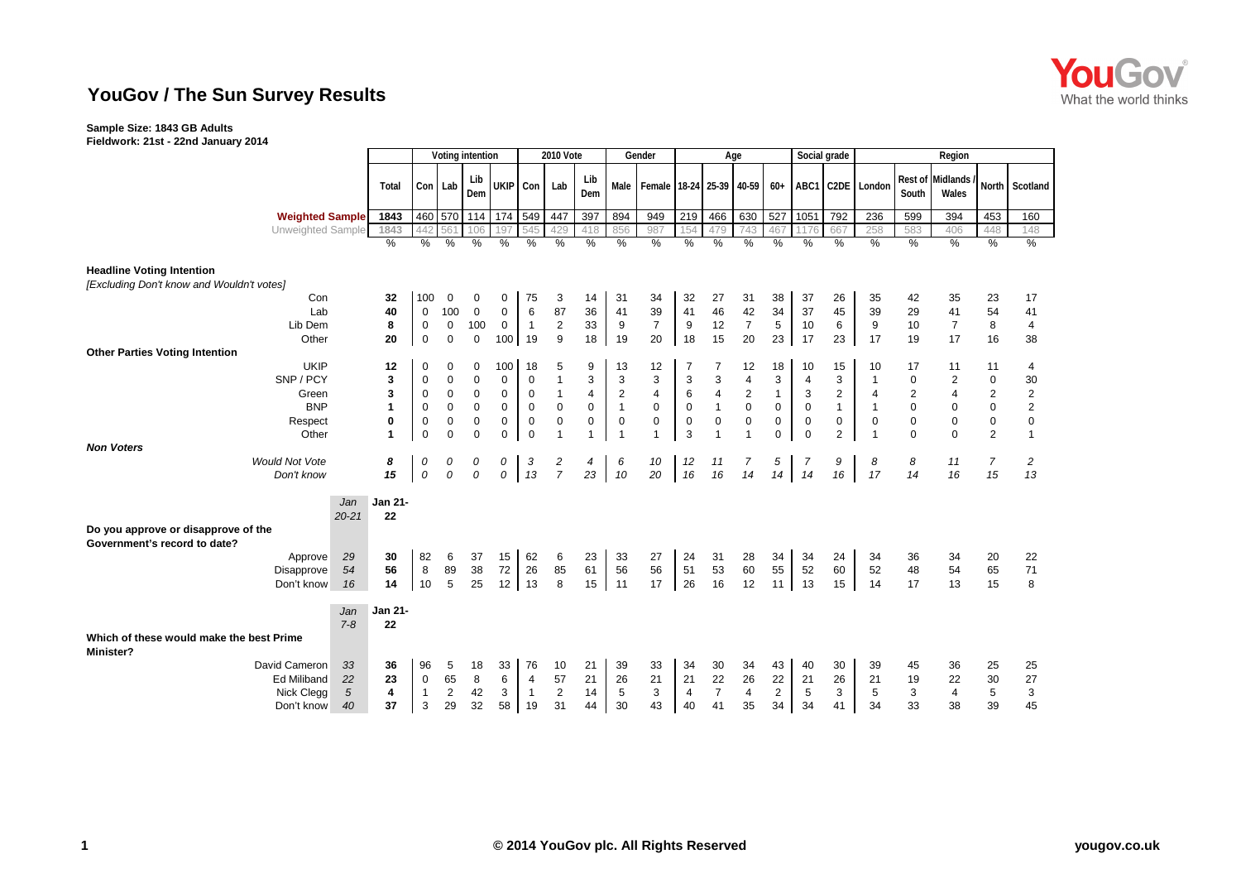## **YouGov / The Sun Survey Results**

## **Sample Size: 1843 GB Adults**

**Fieldwork: 21st - 22nd January 2014**

|                                                                               |                        |                   | Voting intention  |                            |                          | 2010 Vote                  |               |                            | Gender                     |                        | Age                         |                            |                  |                             |                            | Social grade             | Region                     |                             |                             |                            |                              |                            |                             |
|-------------------------------------------------------------------------------|------------------------|-------------------|-------------------|----------------------------|--------------------------|----------------------------|---------------|----------------------------|----------------------------|------------------------|-----------------------------|----------------------------|------------------|-----------------------------|----------------------------|--------------------------|----------------------------|-----------------------------|-----------------------------|----------------------------|------------------------------|----------------------------|-----------------------------|
|                                                                               |                        |                   | Total             |                            | Con Lab                  | Lib<br>Dem                 |               | UKIP Con                   | Lab                        | Lib<br>Dem             | Male                        | Female 18-24 25-39         |                  |                             | 40-59                      | $60+$                    |                            |                             | ABC1 C2DE London            | South                      | Rest of Midlands /<br>Wales  |                            | North Scotland              |
|                                                                               | <b>Weighted Sample</b> |                   | 1843              | 460                        | 570                      | 114                        | 174 549       |                            | 447                        | 397                    | 894                         | 949                        | 219              | 466                         | 630                        | 527                      | 1051                       | 792                         | 236                         | 599                        | 394                          | 453                        | 160                         |
|                                                                               |                        | Unweighted Sample | 1843              | 442                        | 561                      | 106                        | 197           | 545                        | 429                        | 418                    | 856                         | 987                        | 154              | 479                         | 743                        | 467                      |                            | 667                         | 258                         | 583                        | 406                          | 448                        | 148                         |
|                                                                               |                        |                   | $\frac{0}{0}$     | $\%$                       | $\%$                     | $\%$                       | $\frac{0}{0}$ | $\%$                       | $\%$                       | $\%$                   | $\%$                        | $\frac{0}{0}$              | $\%$             | $\frac{0}{0}$               | %                          | $\%$                     | %                          | $\frac{0}{0}$               | $\frac{0}{0}$               | $\%$                       | $\frac{0}{0}$                | $\%$                       | %                           |
| <b>Headline Voting Intention</b><br>[Excluding Don't know and Wouldn't votes] |                        |                   |                   |                            |                          |                            |               |                            |                            |                        |                             |                            |                  |                             |                            |                          |                            |                             |                             |                            |                              |                            |                             |
|                                                                               | Con                    |                   | 32                | 100                        | 0                        | 0                          | 0             | 75                         | 3                          | 14                     | 31                          | 34                         | 32               | 27                          | 31                         | 38                       | 37                         | 26                          | 35                          | 42                         | 35                           | 23                         | 17                          |
|                                                                               | Lab                    |                   | 40                | 0                          | 100                      | 0                          | $\mathbf 0$   | 6                          | 87                         | 36                     | 41                          | 39                         | 41               | 46                          | 42                         | 34                       | 37                         | 45                          | 39                          | 29                         | 41                           | 54                         | 41                          |
|                                                                               | Lib Dem                |                   | 8                 | $\mathbf 0$                | $\mathbf 0$              | 100                        | $\mathbf 0$   | $\overline{1}$             | 2                          | 33                     | 9                           | $\overline{7}$             | 9                | 12                          | $\overline{7}$             | 5                        | 10                         | 6                           | 9                           | 10                         | $\overline{7}$               | 8                          | 4                           |
|                                                                               | Other                  |                   | 20                | $\mathbf 0$                | $\mathbf 0$              | $\mathbf 0$                | 100 19        |                            | 9                          | 18                     | 19                          | 20                         | 18               | 15                          | 20                         | 23                       | 17                         | 23                          | 17                          | 19                         | 17                           | 16                         | 38                          |
| <b>Other Parties Voting Intention</b>                                         |                        |                   |                   |                            |                          |                            |               |                            |                            |                        |                             |                            |                  |                             |                            |                          |                            |                             |                             |                            |                              |                            |                             |
|                                                                               | <b>UKIP</b>            |                   | 12                | $\mathbf 0$                | 0                        | 0                          | 100           | 18                         | 5                          | 9                      | 13                          | 12                         |                  | 7                           | 12                         | 18                       | 10                         | 15                          | 10                          | 17                         | 11                           | 11                         | 4                           |
|                                                                               | SNP / PCY              |                   | 3                 | 0                          | $\mathbf 0$              | 0                          | 0             | $\mathbf 0$                | $\overline{1}$             | 3                      | 3                           | 3                          | 3                | 3                           | 4                          | 3                        | 4                          | 3                           | $\overline{1}$              | $\mathbf 0$                | 2                            | $\mathbf 0$                | 30                          |
|                                                                               | Green                  |                   | 3<br>$\mathbf{1}$ | $\mathbf 0$                | $\mathbf 0$              | 0                          | $\mathbf 0$   | $\mathbf 0$                | $\mathbf{1}$               | $\overline{4}$         | $\overline{2}$              | $\overline{4}$             | 6                | $\overline{4}$              | 2                          | $\mathbf{1}$             | 3                          | $\overline{2}$              | $\overline{4}$              | $\overline{2}$             | 4                            | 2                          | $\boldsymbol{2}$            |
|                                                                               | <b>BNP</b>             |                   | $\mathbf 0$       | $\mathbf 0$                | $\mathsf 0$<br>$\pmb{0}$ | $\mathbf 0$<br>$\mathbf 0$ | 0             | $\mathbf 0$                | $\mathbf 0$<br>$\mathbf 0$ | $\pmb{0}$<br>$\pmb{0}$ | $\mathbf{1}$<br>$\mathbf 0$ | $\mathsf 0$<br>$\mathbf 0$ | 0                | $\mathbf{1}$<br>$\mathbf 0$ | $\mathsf 0$<br>$\mathsf 0$ | $\pmb{0}$<br>$\mathbf 0$ | $\mathbf 0$<br>$\mathbf 0$ | $\mathbf{1}$<br>$\mathbf 0$ | $\mathbf{1}$<br>$\mathbf 0$ | $\mathbf 0$<br>$\mathbf 0$ | $\mathbf{0}$<br>$\mathbf{0}$ | $\mathbf 0$<br>$\mathbf 0$ | $\overline{c}$<br>$\pmb{0}$ |
|                                                                               | Respect<br>Other       |                   | $\mathbf{1}$      | $\mathbf 0$<br>$\mathbf 0$ | $\Omega$                 | $\Omega$                   | 0<br>0        | $\mathbf 0$<br>$\mathbf 0$ | $\overline{1}$             | $\mathbf{1}$           | $\overline{1}$              | $\overline{1}$             | $\mathbf 0$<br>3 | $\overline{1}$              |                            | $\mathbf 0$              | $\mathbf 0$                | $\overline{2}$              | $\overline{1}$              | $\Omega$                   | $\Omega$                     | $\overline{2}$             | $\mathbf{1}$                |
| <b>Non Voters</b>                                                             |                        |                   |                   |                            |                          |                            |               |                            |                            |                        |                             |                            |                  |                             |                            |                          |                            |                             |                             |                            |                              |                            |                             |
| <b>Would Not Vote</b>                                                         |                        |                   | 8                 | 0                          | 0                        | 0                          | 0             | 3                          | 2                          | 4                      | 6                           | 10                         | 12               | 11                          | 7                          | 5                        | 7                          | 9                           | 8                           | 8                          | 11                           | $\overline{7}$             | 2                           |
|                                                                               | Don't know             |                   | 15                | 0                          | $\mathcal{O}$            | 0                          | 0             | 13                         | $\overline{7}$             | 23                     | 10                          | 20                         | 16               | 16                          | 14                         | 14                       | 14                         | 16                          | 17                          | 14                         | 16                           | 15                         | 13                          |
|                                                                               |                        | Jan<br>$20 - 21$  | Jan 21-<br>22     |                            |                          |                            |               |                            |                            |                        |                             |                            |                  |                             |                            |                          |                            |                             |                             |                            |                              |                            |                             |
| Do you approve or disapprove of the<br>Government's record to date?           |                        |                   |                   |                            |                          |                            |               |                            |                            |                        |                             |                            |                  |                             |                            |                          |                            |                             |                             |                            |                              |                            |                             |
|                                                                               | Approve                | 29                | 30                | 82                         | 6                        | 37                         | 15            | 62                         | 6                          | 23                     | 33                          | 27                         | 24               | 31                          | 28                         | 34                       | 34                         | 24                          | 34                          | 36                         | 34                           | 20                         | 22                          |
|                                                                               | Disapprove             | 54                | 56                | $\,8\,$                    | 89                       | 38                         | 72            | 26                         | 85                         | 61                     | 56                          | 56                         | 51               | 53                          | 60                         | 55                       | 52                         | 60                          | 52                          | 48                         | 54                           | 65                         | 71                          |
|                                                                               | Don't know             | 16                | 14                | 10                         | 5                        | 25                         | 12            | 13                         | 8                          | 15                     | 11                          | 17                         | 26               | 16                          | 12                         | 11                       | 13                         | 15                          | 14                          | 17                         | 13                           | 15                         | 8                           |
|                                                                               |                        | Jan               | Jan 21-           |                            |                          |                            |               |                            |                            |                        |                             |                            |                  |                             |                            |                          |                            |                             |                             |                            |                              |                            |                             |
| Which of these would make the best Prime<br><b>Minister?</b>                  |                        | $7 - 8$           | 22                |                            |                          |                            |               |                            |                            |                        |                             |                            |                  |                             |                            |                          |                            |                             |                             |                            |                              |                            |                             |
| David Cameron                                                                 |                        | 33                | 36                | 96                         | 5                        | 18                         | 33            | 76                         | 10                         | 21                     | 39                          | 33                         | 34               | 30                          | 34                         | 43                       | 40                         | 30                          | 39                          | 45                         | 36                           | 25                         | 25                          |
|                                                                               | <b>Ed Miliband</b>     | 22                | 23                | $\mathbf 0$                | 65                       | 8                          | 6             | $\overline{4}$             | 57                         | 21                     | 26                          | 21                         | 21               | 22                          | 26                         | 22                       | 21                         | 26                          | 21                          | 19                         | 22                           | 30                         | 27                          |
|                                                                               | Nick Clegg             | $\sqrt{5}$        | 4                 | $\mathbf{1}$               | $\overline{2}$           | 42                         | 3             | $\overline{1}$             | $\mathbf{2}$               | 14                     | 5                           | 3                          | 4                | $\overline{7}$              | $\overline{4}$             | $\overline{2}$           | 5                          | 3                           | 5                           | 3                          | 4                            | 5                          | 3                           |
|                                                                               | Don't know             | 40                | 37                | 3                          | 29                       | 32                         | 58            | 19                         | 31                         | 44                     | 30                          | 43                         | 40               | 41                          | 35                         | 34                       | 34                         | 41                          | 34                          | 33                         | 38                           | 39                         | 45                          |

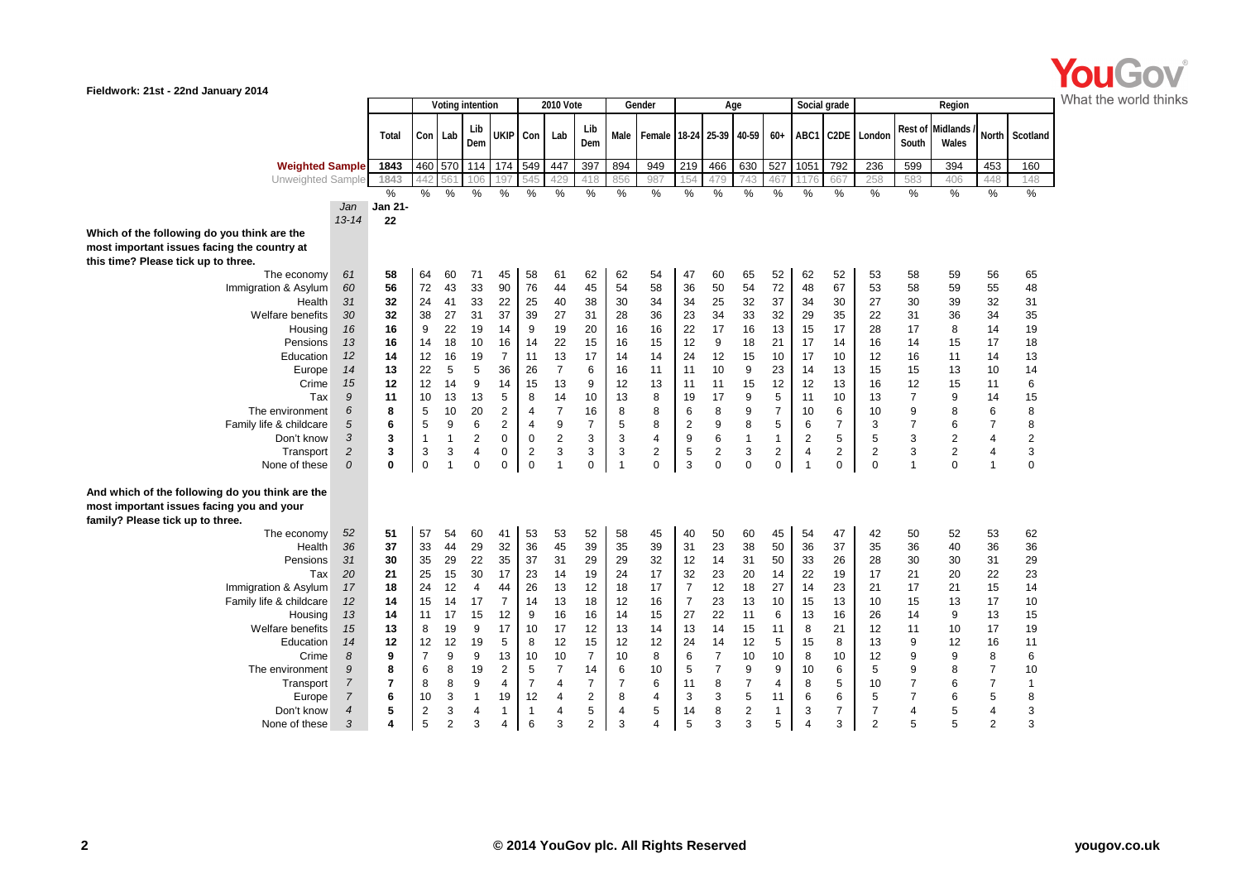

**Fieldwork: 21st - 22nd January 2014**

|                                                                                                                                  |                  |                |                | Voting intention |                         |                         | 2010 Vote        |                         |                | Gender         |                          | Age                  |                |                |                |                | Social grade | Region           |                  |                   |                |                |
|----------------------------------------------------------------------------------------------------------------------------------|------------------|----------------|----------------|------------------|-------------------------|-------------------------|------------------|-------------------------|----------------|----------------|--------------------------|----------------------|----------------|----------------|----------------|----------------|--------------|------------------|------------------|-------------------|----------------|----------------|
|                                                                                                                                  |                  | Total          |                | Con Lab          | Lib<br>Dem              |                         | UKIP Con         | Lab                     | Lib<br>Dem     | Male           | Female 18-24 25-39 40-59 |                      |                |                | $60+$          |                |              | ABC1 C2DE London | Rest of<br>South | Midlands<br>Wales |                | North Scotland |
| <b>Weighted Sample</b>                                                                                                           |                  | 1843           |                | 460 570          | 114                     | 174                     | 549              | 447                     | 397            | 894            | 949                      | 219                  | 466            | 630            | 527            | 1051           | 792          | 236              | 599              | 394               | 453            | 160            |
| Unweighted Sample                                                                                                                |                  | 1843           | 442            | 56               | 106                     | 197                     | 545              | 429                     | 418            | 856            | 987                      | 154                  | 479            | 743            | 467            | 176            | 667          | 258              | 583              | 406               | 448            | 148            |
|                                                                                                                                  |                  | $\frac{9}{6}$  | $\frac{0}{2}$  | $\frac{0}{0}$    | $\frac{0}{2}$           | %                       | %                | %                       | $\frac{0}{0}$  | %              | %                        | %                    | %              | %              | %              | %              | %            | %                | %                | $\%$              | %              | %              |
|                                                                                                                                  | Jan              | Jan 21-        |                |                  |                         |                         |                  |                         |                |                |                          |                      |                |                |                |                |              |                  |                  |                   |                |                |
|                                                                                                                                  | $13 - 14$        | 22             |                |                  |                         |                         |                  |                         |                |                |                          |                      |                |                |                |                |              |                  |                  |                   |                |                |
| Which of the following do you think are the                                                                                      |                  |                |                |                  |                         |                         |                  |                         |                |                |                          |                      |                |                |                |                |              |                  |                  |                   |                |                |
| most important issues facing the country at                                                                                      |                  |                |                |                  |                         |                         |                  |                         |                |                |                          |                      |                |                |                |                |              |                  |                  |                   |                |                |
| this time? Please tick up to three.                                                                                              |                  |                |                |                  |                         |                         |                  |                         |                |                |                          |                      |                |                |                |                |              |                  |                  |                   |                |                |
| The economy                                                                                                                      | 61               | 58             | 64             | 60               | 71                      | 45                      | 58               | 61                      | 62             | 62             | 54                       | 47                   | 60             | 65             | 52             | 62             | 52           | 53               | 58               | 59                | 56             | 65             |
| Immigration & Asylum                                                                                                             | 60               | 56             | 72             | 43               | 33                      | 90                      | 76               | 44                      | 45             | 54             | 58                       | 36                   | 50             | 54             | 72             | 48             | 67           | 53               | 58               | 59                | 55             | 48             |
| Health                                                                                                                           | 31               | 32             | 24             | 41               | 33                      | 22                      | 25               | 40                      | 38             | 30             | 34                       | 34                   | 25             | 32             | 37             | 34             | 30           | 27               | 30               | 39                | 32             | 31             |
| Welfare benefits                                                                                                                 | 30               | 32             | 38             | 27               | 31                      | 37                      | 39               | 27                      | 31             | 28             | 36                       | 23                   | 34             | 33             | 32             | 29             | 35           | 22               | 31               | 36                | 34             | 35             |
| Housing                                                                                                                          | 16               | 16             | 9              | 22               | 19                      | 14                      | 9                | 19                      | 20             | 16             | 16                       | 22                   | 17             | 16             | 13             | 15             | 17           | 28               | 17               | 8                 | 14             | 19             |
| Pensions                                                                                                                         | 13               | 16             | 14             | 18               | 10                      | 16                      | 14               | 22                      | 15             | 16             | 15                       | 12                   | 9              | 18             | 21             | 17             | 14           | 16               | 14               | 15                | 17             | 18             |
| Education                                                                                                                        | 12               | 14             | 12             | 16               | 19                      | $\overline{7}$          | 11               | 13                      | 17             | 14             | 14                       | 24                   | 12             | 15             | 10             | 17             | 10           | 12               | 16               | 11                | 14             | 13             |
| Europe                                                                                                                           | 14               | 13             | 22             | 5                | 5                       | 36                      | 26               | $\overline{7}$          | 6              | 16             | 11                       | 11                   | 10             | 9              | 23             | 14             | 13           | 15               | 15               | 13                | 10             | 14             |
| Crime                                                                                                                            | 15               | 12             | 12             | 14               | 9                       | 14                      | 15               | 13                      | 9              | 12             | 13                       | 11                   | 11             | 15             | 12             | 12             | 13           | 16               | 12               | 15                | 11             | 6              |
| Tax                                                                                                                              | 9                | 11             | 10             | 13               | 13                      | 5                       | 8                | 14                      | 10             | 13             | 8                        | 19                   | 17             | 9              | 5              | 11             | 10           | 13               | $\overline{7}$   | 9                 | 14             | 15             |
| The environment                                                                                                                  | 6                | 8              | 5              | 10               | 20                      | $\overline{\mathbf{c}}$ | $\overline{4}$   | $\overline{7}$          | 16             | 8              | 8                        | 6                    | 8              | 9              | $\overline{7}$ | 10             | 6            | 10               | 9                | 8                 | 6              | 8              |
| Family life & childcare                                                                                                          | 5                | 6              | 5              | 9                | 6                       | $\overline{\mathbf{c}}$ | 4                | 9                       | $\overline{7}$ | 5              | 8                        | $\mathbf 2$          | 9              | 8              | 5              | 6              | 7            | 3                | $\overline{7}$   | 6                 | $\overline{7}$ | 8              |
| Don't know                                                                                                                       | 3                | 3              | $\mathbf{1}$   | $\mathbf{1}$     | $\overline{2}$          | 0                       | $\boldsymbol{0}$ | $\overline{\mathbf{c}}$ | 3              | 3              | 4                        | 9                    | 6              | $\mathbf{1}$   | $\mathbf{1}$   | $\overline{2}$ | 5            | 5                | 3                | $\sqrt{2}$        | $\overline{4}$ | $\overline{2}$ |
| Transport                                                                                                                        | $\overline{c}$   | 3              | 3              | 3                | $\overline{\mathbf{4}}$ | 0                       | $\overline{2}$   | 3                       | 3              | 3              | 2                        | 5                    | $\overline{2}$ | 3              | $\overline{2}$ | 4              | 2            | $\overline{2}$   | 3                | $\overline{2}$    | 4              | 3              |
| None of these                                                                                                                    | 0                | $\mathbf 0$    | $\mathbf 0$    | $\mathbf{1}$     | $\Omega$                | 0                       | $\mathbf 0$      | $\mathbf{1}$            | $\mathbf 0$    | $\overline{1}$ | $\Omega$                 | 3                    | $\Omega$       | $\mathbf 0$    | $\mathbf 0$    | $\overline{1}$ | 0            | $\Omega$         | $\mathbf{1}$     | $\Omega$          | $\mathbf{1}$   | $\Omega$       |
| And which of the following do you think are the<br>most important issues facing you and your<br>family? Please tick up to three. |                  |                |                |                  |                         |                         |                  |                         |                |                |                          |                      |                |                |                |                |              |                  |                  |                   |                |                |
| The economy                                                                                                                      | 52               | 51             | 57             | 54               | 60                      | 41                      | 53               | 53                      | 52             | 58             | 45                       | 40                   | 50             | 60             | 45             | 54             | 47           | 42               | 50               | 52                | 53             | 62             |
| Health                                                                                                                           | 36               | 37             | 33             | 44               | 29                      | 32                      | 36               | 45                      | 39             | 35             | 39                       | 31                   | 23             | 38             | 50             | 36             | 37           | 35               | 36               | 40                | 36             | 36             |
| Pensions                                                                                                                         | 31               | 30             | 35             | 29               | 22                      | 35                      | 37               | 31                      | 29             | 29             | 32                       | 12                   | 14             | 31             | 50             | 33             | 26           | 28               | 30               | 30                | 31             | 29             |
| Tax                                                                                                                              | 20               | 21<br>18       | 25<br>24       | 15               | 30<br>$\overline{4}$    | 17                      | 23<br>26         | 14<br>13                | 19<br>12       | 24             | 17<br>17                 | 32<br>$\overline{7}$ | 23<br>12       | 20<br>18       | 14<br>27       | 22             | 19           | 17               | 21<br>17         | 20                | 22             | 23             |
| Immigration & Asylum                                                                                                             | 17               | 14             | 15             | 12<br>14         | 17                      | 44<br>$\overline{7}$    |                  | 13                      | 18             | 18             | 16                       | $\overline{7}$       | 23             |                |                | 14             | 23           | 21<br>10         | 15               | 21<br>13          | 15<br>17       | 14             |
| Family life & childcare                                                                                                          | 12               | 14             |                |                  |                         |                         | 14               |                         |                | 12             |                          |                      | 22             | 13             | 10             | 15             | 13           |                  |                  |                   |                | 10             |
| Housing                                                                                                                          | 13               |                | 11             | 17               | 15                      | 12<br>17                | 9                | 16                      | 16<br>12       | 14             | 15                       | 27                   |                | 11             | 6              | 13             | 16<br>21     | 26               | 14               | 9                 | 13<br>17       | 15             |
| Welfare benefits                                                                                                                 | 15               | 13<br>12       | 8<br>12        | 19<br>12         | 9<br>19                 |                         | 10               | 17<br>12                | 15             | 13<br>12       | 14<br>12                 | 13                   | 14<br>14       | 15             | 11<br>5        | 8              | 8            | 12<br>13         | 11               | 10                |                | 19<br>11       |
| Education<br>Crime                                                                                                               | 14<br>8          | 9              | $\overline{7}$ |                  | 9                       | 5<br>13                 | 8                | 10                      | $\overline{7}$ | 10             | 8                        | 24<br>6              | $\overline{7}$ | 12<br>10       | 10             | 15             | 10           | 12               | 9<br>9           | 12<br>9           | 16<br>8        | 6              |
| The environment                                                                                                                  | 9                | 8              | 6              | 9<br>8           | 19                      | 2                       | 10<br>5          | 7                       | 14             | 6              | 10                       | 5                    | $\overline{7}$ | 9              | 9              | 8<br>10        | 6            | 5                | 9                | 8                 | $\overline{7}$ | 10             |
|                                                                                                                                  | $\boldsymbol{7}$ | $\overline{7}$ | 8              | 8                | 9                       | $\overline{4}$          | $\overline{7}$   | 4                       | $\overline{7}$ | $\overline{7}$ | 6                        | 11                   | 8              | $\overline{7}$ | 4              | 8              | 5            | 10               | $\overline{7}$   | 6                 | $\overline{7}$ | $\mathbf{1}$   |
| Transport<br>Europe                                                                                                              | $\overline{7}$   | 6              | 10             | 3                | $\mathbf{1}$            | 19                      | 12               | 4                       | $\overline{2}$ | 8              | 4                        | 3                    | 3              | 5              | 11             | 6              | 6            | 5                | $\overline{7}$   | 6                 | 5              | 8              |
| Don't know                                                                                                                       | $\overline{4}$   | 5              | $\overline{2}$ | 3                | 4                       | 1                       | 1                | 4                       | 5              | $\overline{4}$ | 5                        | 14                   | 8              | $\overline{2}$ | $\mathbf 1$    | 3              | 7            | $\overline{7}$   | $\overline{4}$   | 5                 | $\overline{4}$ | 3              |
| None of these                                                                                                                    | 3                | 4              | 5              | $\overline{2}$   | 3                       | $\overline{4}$          | 6                | 3                       | $\overline{2}$ | 3              | $\Delta$                 | 5                    | 3              | 3              | 5              | 4              | 3            | $\mathfrak{p}$   | 5                | 5                 | $\overline{2}$ | 3              |
|                                                                                                                                  |                  |                |                |                  |                         |                         |                  |                         |                |                |                          |                      |                |                |                |                |              |                  |                  |                   |                |                |